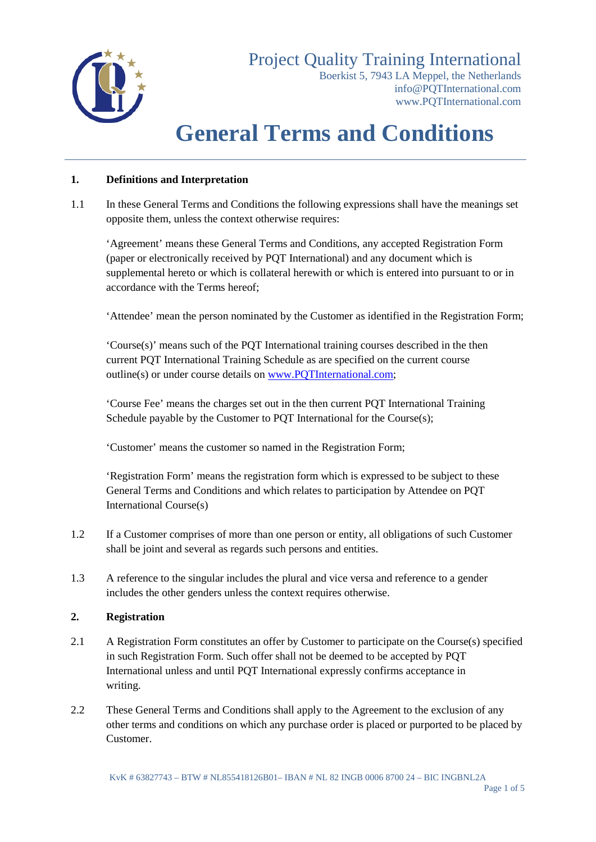

Boerkist 5, 7943 LA Meppel, the Netherlands [info@PQTInternational.com](mailto:info@PQTInternational.com) [www.PQTInternational.com](http://www.pqtinternational.com/)

# **General Terms and Conditions**

## **1. Definitions and Interpretation**

1.1 In these General Terms and Conditions the following expressions shall have the meanings set opposite them, unless the context otherwise requires:

'Agreement' means these General Terms and Conditions, any accepted Registration Form (paper or electronically received by PQT International) and any document which is supplemental hereto or which is collateral herewith or which is entered into pursuant to or in accordance with the Terms hereof;

'Attendee' mean the person nominated by the Customer as identified in the Registration Form;

'Course(s)' means such of the PQT International training courses described in the then current PQT International Training Schedule as are specified on the current course outline(s) or under course details on [www.PQTInternational.com;](http://www.pqtinternational.com/)

'Course Fee' means the charges set out in the then current PQT International Training Schedule payable by the Customer to PQT International for the Course(s);

'Customer' means the customer so named in the Registration Form;

'Registration Form' means the registration form which is expressed to be subject to these General Terms and Conditions and which relates to participation by Attendee on PQT International Course(s)

- 1.2 If a Customer comprises of more than one person or entity, all obligations of such Customer shall be joint and several as regards such persons and entities.
- 1.3 A reference to the singular includes the plural and vice versa and reference to a gender includes the other genders unless the context requires otherwise.

#### **2. Registration**

- 2.1 A Registration Form constitutes an offer by Customer to participate on the Course(s) specified in such Registration Form. Such offer shall not be deemed to be accepted by PQT International unless and until PQT International expressly confirms acceptance in writing.
- 2.2 These General Terms and Conditions shall apply to the Agreement to the exclusion of any other terms and conditions on which any purchase order is placed or purported to be placed by Customer.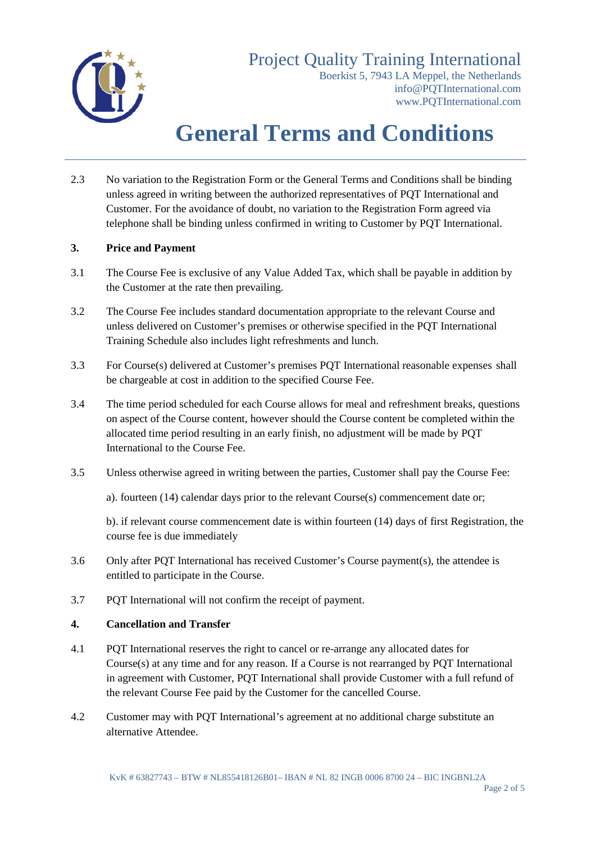

Boerkist 5, 7943 LA Meppel, the Netherlands [info@PQTInternational.com](mailto:info@PQTInternational.com) [www.PQTInternational.com](http://www.pqtinternational.com/)

# **General Terms and Conditions**

2.3 No variation to the Registration Form or the General Terms and Conditions shall be binding unless agreed in writing between the authorized representatives of PQT International and Customer. For the avoidance of doubt, no variation to the Registration Form agreed via telephone shall be binding unless confirmed in writing to Customer by PQT International.

## **3. Price and Payment**

- 3.1 The Course Fee is exclusive of any Value Added Tax, which shall be payable in addition by the Customer at the rate then prevailing.
- 3.2 The Course Fee includes standard documentation appropriate to the relevant Course and unless delivered on Customer's premises or otherwise specified in the PQT International Training Schedule also includes light refreshments and lunch.
- 3.3 For Course(s) delivered at Customer's premises PQT International reasonable expenses shall be chargeable at cost in addition to the specified Course Fee.
- 3.4 The time period scheduled for each Course allows for meal and refreshment breaks, questions on aspect of the Course content, however should the Course content be completed within the allocated time period resulting in an early finish, no adjustment will be made by PQT International to the Course Fee.
- 3.5 Unless otherwise agreed in writing between the parties, Customer shall pay the Course Fee:

a). fourteen (14) calendar days prior to the relevant Course(s) commencement date or;

b). if relevant course commencement date is within fourteen (14) days of first Registration, the course fee is due immediately

- 3.6 Only after PQT International has received Customer's Course payment(s), the attendee is entitled to participate in the Course.
- 3.7 PQT International will not confirm the receipt of payment.

#### **4. Cancellation and Transfer**

- 4.1 PQT International reserves the right to cancel or re-arrange any allocated dates for Course $(s)$  at any time and for any reason. If a Course is not rearranged by PQT International in agreement with Customer, PQT International shall provide Customer with a full refund of the relevant Course Fee paid by the Customer for the cancelled Course.
- 4.2 Customer may with PQT International's agreement at no additional charge substitute an alternative Attendee.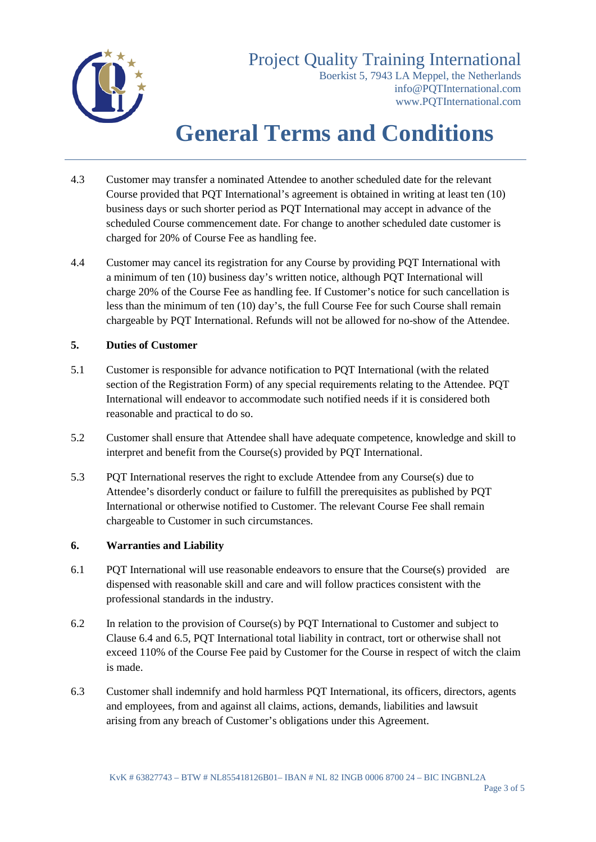

Boerkist 5, 7943 LA Meppel, the Netherlands [info@PQTInternational.com](mailto:info@PQTInternational.com) [www.PQTInternational.com](http://www.pqtinternational.com/)

## **General Terms and Conditions**

- 4.3 Customer may transfer a nominated Attendee to another scheduled date for the relevant Course provided that PQT International's agreement is obtained in writing at least ten (10) business days or such shorter period as PQT International may accept in advance of the scheduled Course commencement date. For change to another scheduled date customer is charged for 20% of Course Fee as handling fee.
- 4.4 Customer may cancel its registration for any Course by providing PQT International with a minimum of ten (10) business day's written notice, although PQT International will charge 20% of the Course Fee as handling fee. If Customer's notice for such cancellation is less than the minimum of ten (10) day's, the full Course Fee for such Course shall remain chargeable by PQT International. Refunds will not be allowed for no-show of the Attendee.

## **5. Duties of Customer**

- 5.1 Customer is responsible for advance notification to PQT International (with the related section of the Registration Form) of any special requirements relating to the Attendee. PQT International will endeavor to accommodate such notified needs if it is considered both reasonable and practical to do so.
- 5.2 Customer shall ensure that Attendee shall have adequate competence, knowledge and skill to interpret and benefit from the Course(s) provided by PQT International.
- 5.3 PQT International reserves the right to exclude Attendee from any Course(s) due to Attendee's disorderly conduct or failure to fulfill the prerequisites as published by PQT International or otherwise notified to Customer. The relevant Course Fee shall remain chargeable to Customer in such circumstances.

#### **6. Warranties and Liability**

- 6.1 PQT International will use reasonable endeavors to ensure that the Course(s) provided are dispensed with reasonable skill and care and will follow practices consistent with the professional standards in the industry.
- 6.2 In relation to the provision of Course(s) by PQT International to Customer and subject to Clause 6.4 and 6.5, PQT International total liability in contract, tort or otherwise shall not exceed 110% of the Course Fee paid by Customer for the Course in respect of witch the claim is made.
- 6.3 Customer shall indemnify and hold harmless PQT International, its officers, directors, agents and employees, from and against all claims, actions, demands, liabilities and lawsuit arising from any breach of Customer's obligations under this Agreement.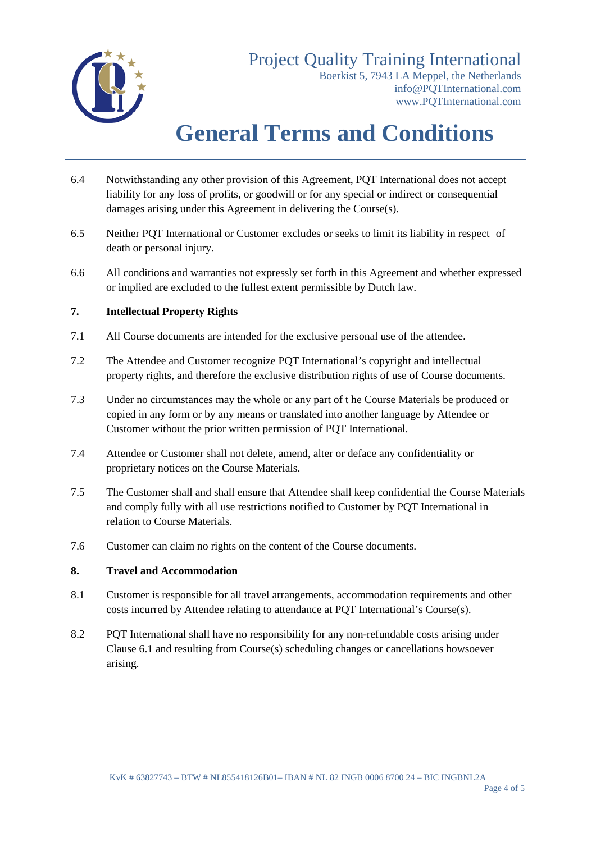

Boerkist 5, 7943 LA Meppel, the Netherlands [info@PQTInternational.com](mailto:info@PQTInternational.com) [www.PQTInternational.com](http://www.pqtinternational.com/)

# **General Terms and Conditions**

- 6.4 Notwithstanding any other provision of this Agreement, PQT International does not accept liability for any loss of profits, or goodwill or for any special or indirect or consequential damages arising under this Agreement in delivering the Course(s).
- 6.5 Neither PQT International or Customer excludes or seeks to limit its liability in respect of death or personal injury.
- 6.6 All conditions and warranties not expressly set forth in this Agreement and whether expressed or implied are excluded to the fullest extent permissible by Dutch law.

## **7. Intellectual Property Rights**

- 7.1 All Course documents are intended for the exclusive personal use of the attendee.
- 7.2 The Attendee and Customer recognize PQT International's copyright and intellectual property rights, and therefore the exclusive distribution rights of use of Course documents.
- 7.3 Under no circumstances may the whole or any part of t he Course Materials be produced or copied in any form or by any means or translated into another language by Attendee or Customer without the prior written permission of PQT International.
- 7.4 Attendee or Customer shall not delete, amend, alter or deface any confidentiality or proprietary notices on the Course Materials.
- 7.5 The Customer shall and shall ensure that Attendee shall keep confidential the Course Materials and comply fully with all use restrictions notified to Customer by PQT International in relation to Course Materials.
- 7.6 Customer can claim no rights on the content of the Course documents.

## **8. Travel and Accommodation**

- 8.1 Customer is responsible for all travel arrangements, accommodation requirements and other costs incurred by Attendee relating to attendance at PQT International's Course(s).
- 8.2 PQT International shall have no responsibility for any non-refundable costs arising under Clause 6.1 and resulting from Course(s) scheduling changes or cancellations howsoever arising.